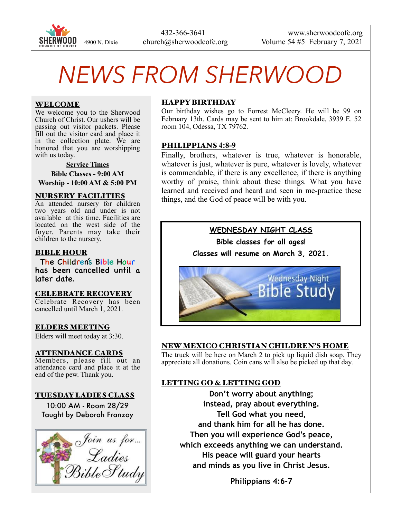

 432-366-3641 www.sherwoodcofc.org 4900 N. Dixie church@sherwoodcofc.org Volume 54 #5 February 7, 2021

# *NEWS FROM SHERWOOD*

### WELCOME

We welcome you to the Sherwood Church of Christ. Our ushers will be passing out visitor packets. Please fill out the visitor card and place it in the collection plate. We are honored that you are worshipping with us today.

**Service Times Bible Classes - 9:00 AM Worship - 10:00 AM & 5:00 PM** 

#### NURSERY FACILITIES

An attended nursery for children two years old and under is not available at this time. Facilities are located on the west side of the foyer. Parents may take their children to the nursery.

### BIBLE HOUR

The Children's Bible Hour has been cancelled until a later date.

#### CELEBRATE RECOVERY

Celebrate Recovery has been cancelled until March 1, 2021.

ELDERS MEETING Elders will meet today at 3:30.

ATTENDANCE CARDS Members, please fill out an attendance card and place it at the end of the pew. Thank you.

# TUESDAY LADIES CLASS

10:00 AM - Room 28/29 Taught by Deborah Franzoy



# HAPPY BIRTHDAY

Our birthday wishes go to Forrest McCleery. He will be 99 on February 13th. Cards may be sent to him at: Brookdale, 3939 E. 52 room 104, Odessa, TX 79762.

#### PHILIPPIANS **4:8-9**

Finally, brothers, whatever is true, whatever is honorable, whatever is just, whatever is pure, whatever is lovely, whatever is commendable, if there is any excellence, if there is anything worthy of praise, think about these things. What you have learned and received and heard and seen in me-practice these things, and the God of peace will be with you.



# NEW MEXICO CHRISTIAN CHILDREN'S HOME

The truck will be here on March 2 to pick up liquid dish soap. They appreciate all donations. Coin cans will also be picked up that day.

# LETTING GO & LETTING GOD

**Don't worry about anything; instead, pray about everything. Tell God what you need, and thank him for all he has done. Then you will experience God's peace, which exceeds anything we can understand. His peace will guard your hearts and minds as you live in Christ Jesus.** 

**Philippians 4:6-7**